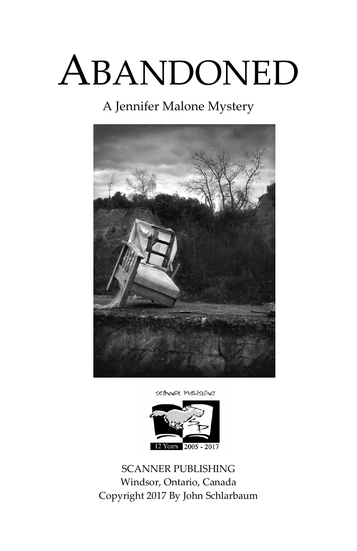# ABANDONED

### A Jennifer Malone Mystery



SCANNER PUBLISHING



SCANNER PUBLISHING Windsor, Ontario, Canada Copyright 2017 By John Schlarbaum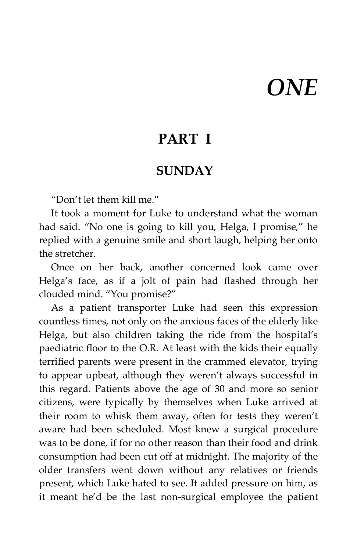## *ONE*

### **PART I**

#### **SUNDAY**

"Don't let them kill me."

It took a moment for Luke to understand what the woman had said. "No one is going to kill you, Helga, I promise," he replied with a genuine smile and short laugh, helping her onto the stretcher.

Once on her back, another concerned look came over Helga's face, as if a jolt of pain had flashed through her clouded mind. "You promise?"

As a patient transporter Luke had seen this expression countless times, not only on the anxious faces of the elderly like Helga, but also children taking the ride from the hospital's paediatric floor to the O.R. At least with the kids their equally terrified parents were present in the crammed elevator, trying to appear upbeat, although they weren't always successful in this regard. Patients above the age of 30 and more so senior citizens, were typically by themselves when Luke arrived at their room to whisk them away, often for tests they weren't aware had been scheduled. Most knew a surgical procedure was to be done, if for no other reason than their food and drink consumption had been cut off at midnight. The majority of the older transfers went down without any relatives or friends present, which Luke hated to see. It added pressure on him, as it meant he'd be the last non-surgical employee the patient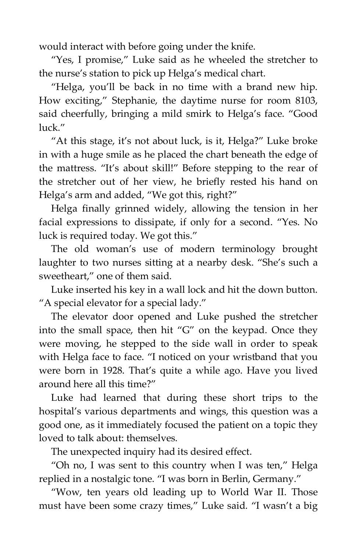would interact with before going under the knife.

"Yes, I promise," Luke said as he wheeled the stretcher to the nurse's station to pick up Helga's medical chart.

"Helga, you'll be back in no time with a brand new hip. How exciting," Stephanie, the daytime nurse for room 8103, said cheerfully, bringing a mild smirk to Helga's face. "Good luck."

"At this stage, it's not about luck, is it, Helga?" Luke broke in with a huge smile as he placed the chart beneath the edge of the mattress. "It's about skill!" Before stepping to the rear of the stretcher out of her view, he briefly rested his hand on Helga's arm and added, "We got this, right?"

Helga finally grinned widely, allowing the tension in her facial expressions to dissipate, if only for a second. "Yes. No luck is required today. We got this."

The old woman's use of modern terminology brought laughter to two nurses sitting at a nearby desk. "She's such a sweetheart," one of them said.

Luke inserted his key in a wall lock and hit the down button. "A special elevator for a special lady."

The elevator door opened and Luke pushed the stretcher into the small space, then hit "G" on the keypad. Once they were moving, he stepped to the side wall in order to speak with Helga face to face. "I noticed on your wristband that you were born in 1928. That's quite a while ago. Have you lived around here all this time?"

Luke had learned that during these short trips to the hospital's various departments and wings, this question was a good one, as it immediately focused the patient on a topic they loved to talk about: themselves.

The unexpected inquiry had its desired effect.

"Oh no, I was sent to this country when I was ten," Helga replied in a nostalgic tone. "I was born in Berlin, Germany."

"Wow, ten years old leading up to World War II. Those must have been some crazy times," Luke said. "I wasn't a big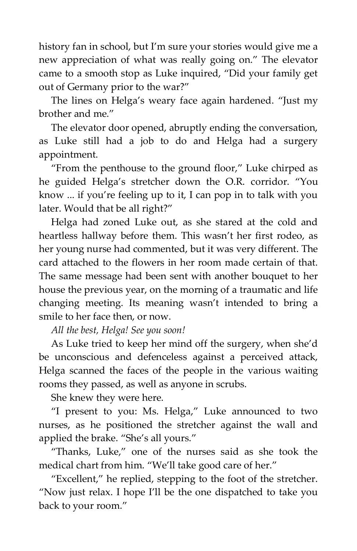history fan in school, but I'm sure your stories would give me a new appreciation of what was really going on." The elevator came to a smooth stop as Luke inquired, "Did your family get out of Germany prior to the war?"

The lines on Helga's weary face again hardened. "Just my brother and me."

The elevator door opened, abruptly ending the conversation, as Luke still had a job to do and Helga had a surgery appointment.

"From the penthouse to the ground floor," Luke chirped as he guided Helga's stretcher down the O.R. corridor. "You know ... if you're feeling up to it, I can pop in to talk with you later. Would that be all right?"

Helga had zoned Luke out, as she stared at the cold and heartless hallway before them. This wasn't her first rodeo, as her young nurse had commented, but it was very different. The card attached to the flowers in her room made certain of that. The same message had been sent with another bouquet to her house the previous year, on the morning of a traumatic and life changing meeting. Its meaning wasn't intended to bring a smile to her face then, or now.

*All the best, Helga! See you soon!*

As Luke tried to keep her mind off the surgery, when she'd be unconscious and defenceless against a perceived attack, Helga scanned the faces of the people in the various waiting rooms they passed, as well as anyone in scrubs.

She knew they were here.

"I present to you: Ms. Helga," Luke announced to two nurses, as he positioned the stretcher against the wall and applied the brake. "She's all yours."

"Thanks, Luke," one of the nurses said as she took the medical chart from him. "We'll take good care of her."

"Excellent," he replied, stepping to the foot of the stretcher. "Now just relax. I hope I'll be the one dispatched to take you back to your room."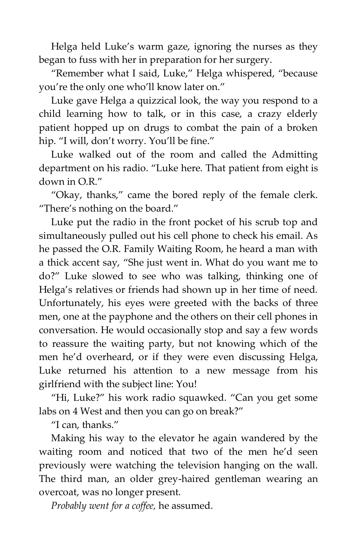Helga held Luke's warm gaze, ignoring the nurses as they began to fuss with her in preparation for her surgery.

"Remember what I said, Luke," Helga whispered, "because you're the only one who'll know later on."

Luke gave Helga a quizzical look, the way you respond to a child learning how to talk, or in this case, a crazy elderly patient hopped up on drugs to combat the pain of a broken hip. "I will, don't worry. You'll be fine."

Luke walked out of the room and called the Admitting department on his radio. "Luke here. That patient from eight is down in O.R."

"Okay, thanks," came the bored reply of the female clerk. "There's nothing on the board."

Luke put the radio in the front pocket of his scrub top and simultaneously pulled out his cell phone to check his email. As he passed the O.R. Family Waiting Room, he heard a man with a thick accent say, "She just went in. What do you want me to do?" Luke slowed to see who was talking, thinking one of Helga's relatives or friends had shown up in her time of need. Unfortunately, his eyes were greeted with the backs of three men, one at the payphone and the others on their cell phones in conversation. He would occasionally stop and say a few words to reassure the waiting party, but not knowing which of the men he'd overheard, or if they were even discussing Helga, Luke returned his attention to a new message from his girlfriend with the subject line: You!

"Hi, Luke?" his work radio squawked. "Can you get some labs on 4 West and then you can go on break?"

"I can, thanks."

Making his way to the elevator he again wandered by the waiting room and noticed that two of the men he'd seen previously were watching the television hanging on the wall. The third man, an older grey-haired gentleman wearing an overcoat, was no longer present.

*Probably went for a coffee,* he assumed.